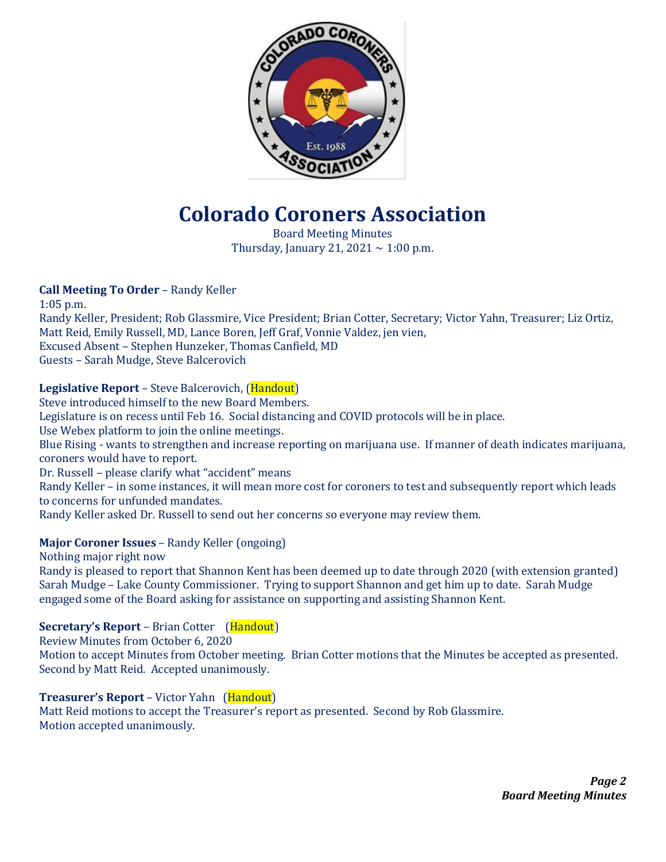

# **Colorado Coroners Association**

Board Meeting Minutes Thursday, January 21, 2021  $\sim$  1:00 p.m.

## **Call Meeting To Order** – Randy Keller

1:05 p.m. Randy Keller, President; Rob Glassmire, Vice President; Brian Cotter, Secretary; Victor Yahn, Treasurer; Liz Ortiz, Matt Reid, Emily Russell, MD, Lance Boren, Jeff Graf, Vonnie Valdez, jen vien, Excused Absent – Stephen Hunzeker, Thomas Canfield, MD Guests – Sarah Mudge, Steve Balcerovich

## **Legislative Report** – Steve Balcerovich, (Handout)

Steve introduced himself to the new Board Members.

Legislature is on recess until Feb 16. Social distancing and COVID protocols will be in place.

Use Webex platform to join the online meetings.

Blue Rising - wants to strengthen and increase reporting on marijuana use. If manner of death indicates marijuana, coroners would have to report.

Dr. Russell – please clarify what "accident" means

Randy Keller – in some instances, it will mean more cost for coroners to test and subsequently report which leads to concerns for unfunded mandates.

Randy Keller asked Dr. Russell to send out her concerns so everyone may review them.

## **Major Coroner Issues** – Randy Keller (ongoing)

Nothing major right now

Randy is pleased to report that Shannon Kent has been deemed up to date through 2020 (with extension granted) Sarah Mudge – Lake County Commissioner. Trying to support Shannon and get him up to date. Sarah Mudge engaged some of the Board asking for assistance on supporting and assisting Shannon Kent.

## **Secretary's Report** – Brian Cotter (Handout)

Review Minutes from October 6, 2020 Motion to accept Minutes from October meeting. Brian Cotter motions that the Minutes be accepted as presented. Second by Matt Reid. Accepted unanimously.

## **Treasurer's Report** – Victor Yahn (Handout)

Matt Reid motions to accept the Treasurer's report as presented. Second by Rob Glassmire. Motion accepted unanimously.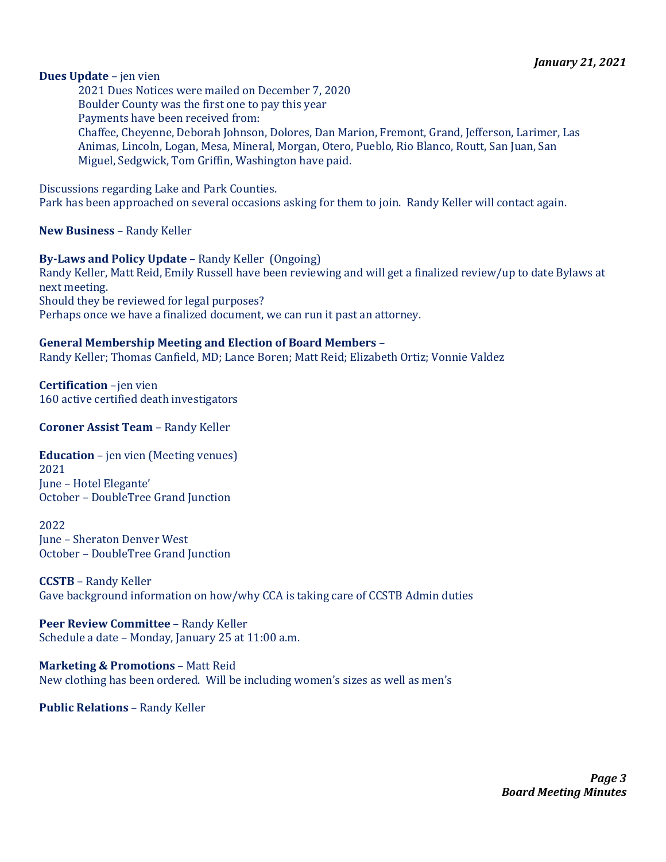#### **Dues Update** – jen vien

2021 Dues Notices were mailed on December 7, 2020 Boulder County was the first one to pay this year Payments have been received from: Chaffee, Cheyenne, Deborah Johnson, Dolores, Dan Marion, Fremont, Grand, Jefferson, Larimer, Las Animas, Lincoln, Logan, Mesa, Mineral, Morgan, Otero, Pueblo, Rio Blanco, Routt, San Juan, San Miguel, Sedgwick, Tom Griffin, Washington have paid.

Discussions regarding Lake and Park Counties.

Park has been approached on several occasions asking for them to join. Randy Keller will contact again.

**New Business** – Randy Keller

**By-Laws and Policy Update** – Randy Keller (Ongoing) Randy Keller, Matt Reid, Emily Russell have been reviewing and will get a finalized review/up to date Bylaws at next meeting. Should they be reviewed for legal purposes? Perhaps once we have a finalized document, we can run it past an attorney.

#### **General Membership Meeting and Election of Board Members** –

Randy Keller; Thomas Canfield, MD; Lance Boren; Matt Reid; Elizabeth Ortiz; Vonnie Valdez

**Certification** –jen vien 160 active certified death investigators

**Coroner Assist Team** – Randy Keller

**Education** – jen vien (Meeting venues) 2021 June – Hotel Elegante' October – DoubleTree Grand Junction

2022 June – Sheraton Denver West October – DoubleTree Grand Junction

**CCSTB** – Randy Keller Gave background information on how/why CCA is taking care of CCSTB Admin duties

**Peer Review Committee** – Randy Keller Schedule a date – Monday, January 25 at 11:00 a.m.

**Marketing & Promotions** – Matt Reid New clothing has been ordered. Will be including women's sizes as well as men's

**Public Relations** – Randy Keller